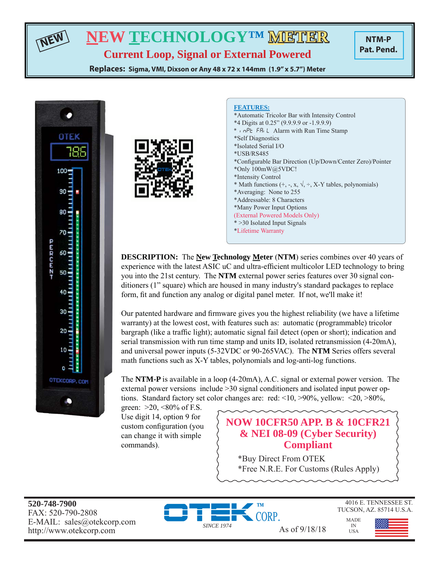# **NEW TECHNOLOGY™ METHER**

**NTM-P Pat. Pend.**

**Current Loop, Signal or External Powered Replaces: Sigma, VMI, Dixson or Any 48 x 72 x 144mm (1.9" x 5.7") Meter**



**NEW**



#### **FEATURES:**

\*Automatic Tricolor Bar with Intensity Control \*4 Digits at 0.25" (9.9.9.9 or -1.9.9.9)  $*$   $nPE$  FR<sub>i</sub> L Alarm with Run Time Stamp \*Self Diagnostics \*Isolated Serial I/O \*USB/RS485 \*Configurable Bar Direction (Up/Down/Center Zero)/Pointer \*Only 100mW@5VDC! \*Intensity Control \* Math functions  $(+, -, x, \sqrt{=} , +, X-Y)$  tables, polynomials) \*Averaging: None to 255 \*Addressable: 8 Characters \*Many Power Input Options (External Powered Models Only) \* >30 Isolated Input Signals \*Lifetime Warranty

**DESCRIPTION:** The **New Technology Meter** (**NTM**) series combines over 40 years of experience with the latest ASIC uC and ultra-efficient multicolor LED technology to bring you into the 21st century. The **NTM** external power series features over 30 signal conditioners (1" square) which are housed in many industry's standard packages to replace form, fit and function any analog or digital panel meter. If not, we'll make it!

Our patented hardware and firmware gives you the highest reliability (we have a lifetime warranty) at the lowest cost, with features such as: automatic (programmable) tricolor bargraph (like a traffic light); automatic signal fail detect (open or short); indication and serial transmission with run time stamp and units ID, isolated retransmission (4-20mA), and universal power inputs (5-32VDC or 90-265VAC). The **NTM** Series offers several math functions such as X-Y tables, polynomials and log-anti-log functions.

The **NTM-P** is available in a loop (4-20mA), A.C. signal or external power version. The external power versions include >30 signal conditioners and isolated input power options. Standard factory set color changes are: red: <10, >90%, yellow: <20, >80%,

green:  $>20$ , <80% of F.S. Use digit 14, option 9 for custom configuration (you can change it with simple commands).

# **NOW 10CFR50 APP. B & 10CFR21 & NEI 08-09 (Cyber Security) Compliant**

\*Buy Direct From OTEK \*Free N.R.E. For Customs (Rules Apply)

**520-748-7900** FAX: 520-790-2808 E-MAIL: sales@otekcorp.com



4016 E. TENNESSEE ST. TUCSON, AZ. 85714 U.S.A.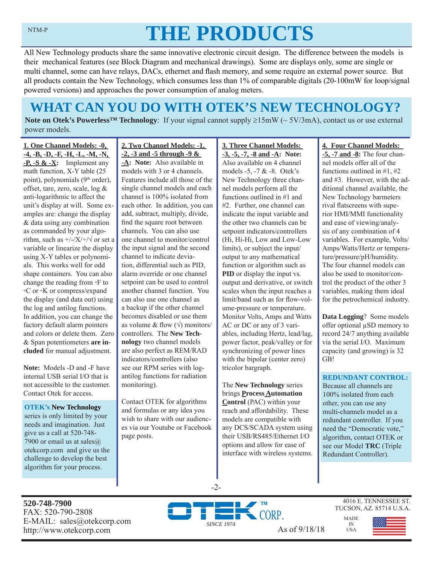# **THE PRODUCTS**

All New Technology products share the same innovative electronic circuit design. The difference between the models is their mechanical features (see Block Diagram and mechanical drawings). Some are displays only, some are single or multi channel, some can have relays, DACs, ethernet and flash memory, and some require an external power source. But all products contain the New Technology, which consumes less than 1% of comparable digitals (20-100mW for loop/signal powered versions) and approaches the power consumption of analog meters.

# **WHAT CAN YOU DO WITH OTEK'S NEW TECHNOLOGY?**

**Note on Otek's Powerless<sup>TM</sup> Technology**: If your signal cannot supply  $\geq 15 \text{mW}$  ( $\sim 5V/3 \text{mA}$ ), contact us or use external power models.

**1. One Channel Models: -0, -4, -B, -D, -F, -H, -L, -M, -N, -P, -S & -X:** Implement any math function, X-Y table (25 point), polynomials (9<sup>th</sup> order), offset, tare, zero, scale, log & anti-logarithmic to affect the unit's display at will. Some examples are: change the display & data using any combination as commanded by your algorithm, such as  $\frac{+}{-}\times\frac{+}{\sqrt{}}$  or set a variable or linearize the display using X-Y tables or polynomials. This works well for odd shape containers. You can also change the reading from ◦F to ◦C or ◦K or compress/expand the display (and data out) using the log and antilog functions. In addition, you can change the factory default alarm pointers and colors or delete them. Zero & Span potentiometers **are included** for manual adjustment.

**Note:** Models -D and -F have internal USB serial I/O that is not accessible to the customer. Contact Otek for access.

#### **OTEK's New Technology**

series is only limited by your needs and imagination. Just give us a call at 520-748- 7900 or email us at sales $@$ . otekcorp.com and give us the challenge to develop the best algorithm for your process.

# **2. Two Channel Models: -1, -2, -3 and -5 through -9 &**

**-A: Note:** Also available in models with 3 or 4 channels. Features include all those of the single channel models and each channel is 100% isolated from each other. In addition, you can add, subtract, multiply, divide, find the square root between channels. You can also use one channel to monitor/control the input signal and the second channel to indicate deviation, differential such as PID, alarm override or one channel setpoint can be used to control another channel function. You can also use one channel as a backup if the other channel becomes disabled or use them as volume & flow  $(\sqrt{})$  monitors/ controllers. The **New Technology** two channel models are also perfect as REM/RAD indicators/controllers (also see our RPM series with logantilog functions for radiation monitoring).

Contact OTEK for algorithms and formulas or any idea you wish to share with our audiences via our Youtube or Facebook page posts.

#### **3. Three Channel Models: -3, -5, -7, -8 and -A: Note:**  Also available on 4 channel models -5, -7 & -8. Otek's New Technology three channel models perform all the functions outlined in #1 and #2. Further, one channel can indicate the input variable and the other two channels can be setpoint indicators/controllers (Hi, Hi-Hi, Low and Low-Low limits), or subject the input/ output to any mathematical function or algorithm such as **PID** or display the input vs. output and derivative, or switch scales when the input reaches a limit/band such as for flow-volume-pressure or temperature. Monitor Volts, Amps and Watts AC or DC or any of 3 variables, including Hertz, lead/lag, power factor, peak/valley or for synchronizing of power lines with the bipolar (center zero) tricolor bargraph.

The **New Technology** series brings **Process Automation Control** (PAC) within your reach and affordability. These models are compatible with any DCS/SCADA system using their USB/RS485/Ethernet I/O options and allow for ease of interface with wireless systems.

### **4. Four Channel Models:**

**-5, -7 and -8:** The four channel models offer all of the functions outlined in #1, #2 and #3. However, with the additional channel available, the New Technology barmeters rival flatscreens with superior HMI/MMI functionality and ease of viewing/analysis of any combination of 4 variables. For example, Volts/ Amps/Watts/Hertz or temperature/pressure/pH/humidity. The four channel models can also be used to monitor/control the product of the other 3 variables, making them ideal for the petrochemical industry.

**Data Logging**? Some models offer optional μSD memory to record 24/7 anything available via the serial I/O. Maximum capacity (and growing) is 32 GB!

#### **REDUNDANT CONTROL:**

Because all channels are 100% isolated from each other, you can use any multi-channels model as a redundant controller. If you need the "Democratic vote," algorithm, contact OTEK or see our Model **TRC** (Triple Redundant Controller).

**520-748-7900** FAX: 520-790-2808 E-MAIL: sales@otekcorp.com http://www.otekcorp.com As of 9/18/18



-2-

4016 E. TENNESSEE ST. TUCSON, AZ. 85714 U.S.A.

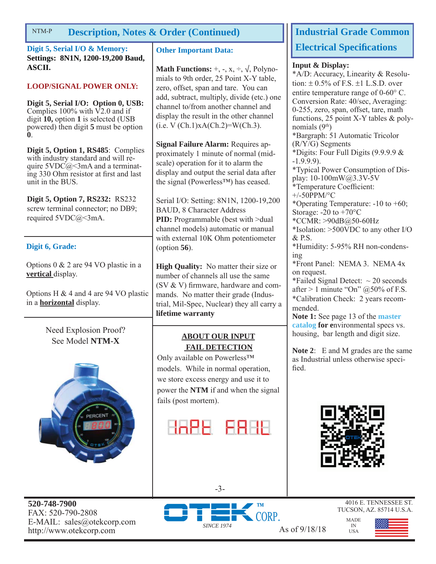#### **Description, Notes & Order (Continued)** NTM-P

**Digit 5, Serial I/O & Memory: Settings: 8N1N, 1200-19,200 Baud, ASCII.**

# **LOOP/SIGNAL POWER ONLY:**

**Digit 5, Serial I/O: Option 0, USB:**  Complies  $100\%$  with  $\nabla$ 2.0 and if digit **10,** option **1** is selected (USB powered) then digit **5** must be option **0**.

**Digit 5, Option 1, RS485**: Complies with industry standard and will require  $5VDC@<3mA$  and a terminating 330 Ohm resistor at first and last unit in the BUS.

**Digit 5, Option 7, RS232:** RS232 screw terminal connector; no DB9; required 5VDC@<3mA.

#### **Digit 6, Grade:**

Options 0 & 2 are 94 VO plastic in a **vertical** display.

Options H & 4 and 4 are 94 VO plastic in a **horizontal** display.

> Need Explosion Proof? See Model **NTM-X**



**520-748-7900** FAX: 520-790-2808 E-MAIL: sales@otekcorp.com http://www.otekcorp.com As of 9/18/18

#### **Other Important Data:**

**Math Functions:**  $+$ ,  $-$ ,  $x$ ,  $\div$ ,  $\sqrt{}$ , Polynomials to 9th order, 25 Point X-Y table, zero, offset, span and tare. You can add, subtract, multiply, divide (etc.) one channel to/from another channel and display the result in the other channel  $(i.e. V (Ch.1)xA(Ch.2)=W(Ch.3).$ 

**Signal Failure Alarm:** Requires approximately 1 minute of normal (midscale) operation for it to alarm the display and output the serial data after the signal (Powerless™) has ceased.

Serial I/O: Setting: 8N1N, 1200-19,200 BAUD, 8 Character Address **PID:** Programmable (best with >dual channel models) automatic or manual with external 10K Ohm potentiometer (option **56**).

**High Quality:** No matter their size or number of channels all use the same (SV  $&$  V) firmware, hardware and commands. No matter their grade (Industrial, Mil-Spec, Nuclear) they all carry a **lifetime warranty**

### **ABOUT OUR INPUT FAIL DETECTION**

Only available on Powerless™ models. While in normal operation, we store excess energy and use it to power the **NTM** if and when the signal fails (post mortem).



*SINCE 1974*

-3-

# **Industrial Grade Common Electrical Specifications**

#### **Input & Display:**

\*A/D: Accuracy, Linearity & Resolution:  $\pm$  0.5% of F.S.  $\pm$ 1 L.S.D. over entire temperature range of  $0\n-60^{\circ}$  C. Conversion Rate: 40/sec, Averaging: 0-255, zero, span, offset, tare, math functions, 25 point X-Y tables & polynomials (9th) \*Bargraph: 51 Automatic Tricolor (R/Y/G) Segments \*Digits: Four Full Digits (9.9.9.9 & -1.9.9.9). \*Typical Power Consumption of Display: 10-100mW@3.3V-5V \*Temperature Coefficient: +/-50PPM/°C \*Operating Temperature: -10 to +60; Storage: -20 to +70°C \*CCMR: >90dB@50-60Hz \*Isolation: >500VDC to any other I/O & P.S. \*Humidity: 5-95% RH non-condensing \*Front Panel: NEMA 3. NEMA 4x on request.

\*Failed Signal Detect:  $\sim$  20 seconds after  $> 1$  minute "On"  $@50\%$  of F.S. \*Calibration Check: 2 years recommended.

**Note 1:** See page 13 of the **master catalog for e**nvironmental specs vs. housing, bar length and digit size.

**Note 2**: E and M grades are the same as Industrial unless otherwise specified.



MADE IN USA

CORP.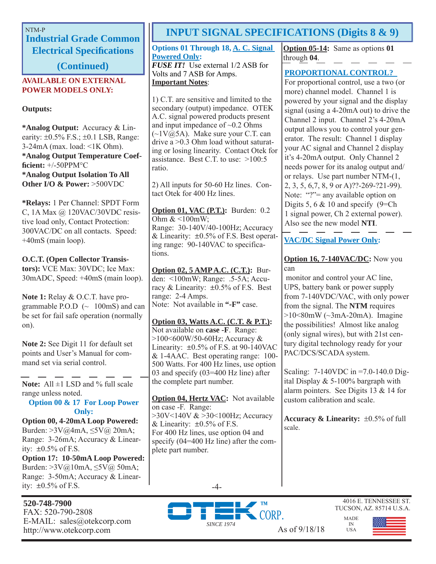**Industrial Grade Common Electrical Specifi cations** 

**(Continued)**

#### **AVAILABLE ON EXTERNAL POWER MODELS ONLY:**

## **Outputs:**

**\*Analog Output:** Accuracy & Linearity:  $\pm 0.5\%$  F.S.;  $\pm 0.1$  LSB, Range: 3-24mA (max. load: <1K Ohm). **\*Analog Output Temperature Coeffi cient:** +/-50PPM°C **\*Analog Output Isolation To All Other I/O & Power:** >500VDC

**\*Relays:** 1 Per Channel: SPDT Form C, 1A Max @ 120VAC/30VDC resistive load only, Contact Protection: 300VAC/DC on all contacts. Speed: +40mS (main loop).

**O.C.T. (Open Collector Transistors):** VCE Max: 30VDC; Ice Max: 30mADC, Speed: +40mS (main loop).

**Note 1:** Relay & O.C.T. have programmable P.O.D  $\sim$  100mS) and can be set for fail safe operation (normally on).

**Note 2:** See Digit 11 for default set points and User's Manual for command set via serial control.

Note: All  $\pm$ 1 LSD and % full scale range unless noted.

**Option 00 & 17 For Loop Power Only:**

**Option 00, 4-20mA Loop Powered:**  Burden: >3V@4mA, ≤5V@ 20mA; Range: 3-26mA; Accuracy & Linearity:  $\pm 0.5\%$  of F.S. **Option 17: 10-50mA Loop Powered:**  Burden: >3V@10mA, ≤5V@ 50mA; Range: 3-50mA; Accuracy & Linearity:  $\pm 0.5\%$  of F.S.

**520-748-7900** FAX: 520-790-2808 E-MAIL: sales@otekcorp.com

# NTM-P<br>**INPUT SIGNAL SPECIFICATIONS (Digits 8 & 9)**

**Options 01 Through 18, A. C. Signal Powered Only:** *FUSE IT!* Use external 1/2 ASB for Volts and 7 ASB for Amps. **Important Notes**:

1) C.T. are sensitive and limited to the secondary (output) impedance. OTEK A.C. signal powered products present and input impedance of  $\sim 0.2$  Ohms  $(\sim 1 \text{V} \text{@} 5 \text{A})$ . Make sure your C.T. can drive a >0.3 Ohm load without saturating or losing linearity. Contact Otek for assistance. Best C.T. to use: >100:5 ratio.

2) All inputs for 50-60 Hz lines. Contact Otek for 400 Hz lines.

**Option 01, VAC (P.T.):** Burden: 0.2 Ohm  $<100$ mW; Range: 30-140V/40-100Hz; Accuracy & Linearity:  $\pm 0.5\%$  of F.S. Best operating range: 90-140VAC to specifications.

**Option 02, 5 AMP A.C. (C.T.):** Burden: <100mW; Range: .5-5A; Accuracy & Linearity:  $\pm 0.5\%$  of F.S. Best range: 2-4 Amps. Note: Not available in **"-F"** case.

**Option 03, Watts A.C. (C.T. & P.T.):** Not available on **case -F**. Range: >100<600W/50-60Hz; Accuracy & Linearity:  $\pm 0.5\%$  of F.S. at 90-140VAC & 1-4AAC. Best operating range: 100- 500 Watts. For 400 Hz lines, use option 03 and specify (03=400 Hz line) after the complete part number.

**Option 04, Hertz VAC:** Not available on case -F. Range: >30V<140V & >30<100Hz; Accuracy & Linearity:  $\pm 0.5\%$  of F.S. For 400 Hz lines, use option 04 and specify (04=400 Hz line) after the complete part number.

**Option 05-14:** Same as options **01** through **04**.

# **PROPORTIONAL CONTROL?**

For proportional control, use a two (or more) channel model. Channel 1 is powered by your signal and the display signal (using a 4-20mA out) to drive the Channel 2 input. Channel 2's 4-20mA output allows you to control your generator. The result: Channel 1 display your AC signal and Channel 2 display it's 4-20mA output. Only Channel 2 needs power for its analog output and/ or relays. Use part number NTM-(1, 2, 3, 5, 6,7, 8, 9 or A)??-269-?21-99). Note: "?"= any available option on Digits 5, 6  $& 10$  and specify (9=Ch) 1 signal power, Ch 2 external power). Also see the new model **NTI**.

**VAC/DC Signal Power Only:**

# **Option 16, 7-140VAC/DC:** Now you can

 monitor and control your AC line, UPS, battery bank or power supply from 7-140VDC/VAC, with only power from the signal. The **NTM** requires  $>10<80$ mW ( $\sim$ 3mA-20mA). Imagine the possibilities! Almost like analog (only signal wires), but with 21st century digital technology ready for your PAC/DCS/SCADA system.

Scaling: 7-140VDC in =7.0-140.0 Digital Display  $& 5-100\%$  bargraph with alarm pointers. See Digits 13 & 14 for custom calibration and scale.

**Accuracy & Linearity:**  $\pm 0.5\%$  of full scale.

> MADE IN USA





4016 E. TENNESSEE ST. TUCSON, AZ. 85714 U.S.A.

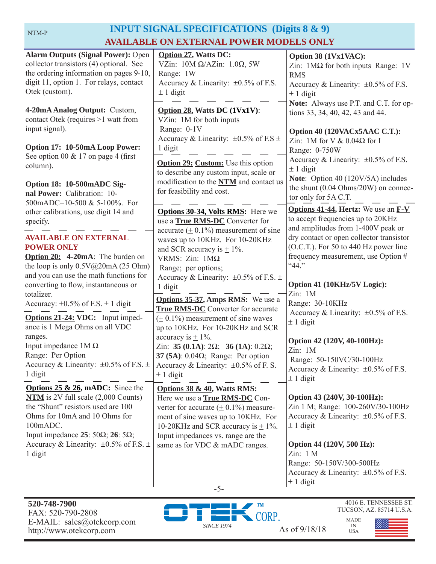#### NTM-P

# **INPUT SIGNAL SPECIFICATIONS (Digits 8 & 9) AVAILABLE ON EXTERNAL POWER MODELS ONLY**

| <b>Alarm Outputs (Signal Power): Open</b><br>collector transistors (4) optional. See<br>the ordering information on pages 9-10,<br>digit 11, option 1. For relays, contact<br>Otek (custom).<br>4-20mA Analog Output: Custom,<br>contact Otek (requires >1 watt from<br>input signal).                                                                                                                                                                                                                                             | <b>Option 27, Watts DC:</b><br>VZin: $10M \Omega/AZ$ in: $1.0\Omega$ , 5W<br>Range: 1W<br>Accuracy & Linearity: $\pm 0.5\%$ of F.S.<br>$± 1$ digit<br>Option 28, Watts DC (1Vx1V):<br>VZin: 1M for both inputs<br>Range: 0-1V<br>Accuracy & Linearity: $\pm 0.5\%$ of F.S $\pm$                                                                                                                                                                                                                                                                                                                                                                                        | Option 38 (1Vx1VAC):<br>Zin: $1\text{M}\Omega$ for both inputs Range: 1V<br><b>RMS</b><br>Accuracy & Linearity: $\pm 0.5\%$ of F.S.<br>$± 1$ digit<br>Note: Always use P.T. and C.T. for op-<br>tions 33, 34, 40, 42, 43 and 44.<br>Option 40 (120VACx5AAC C.T.):<br>Zin: 1M for V & $0.04\Omega$ for I                                                                                                                                                                                                                    |
|------------------------------------------------------------------------------------------------------------------------------------------------------------------------------------------------------------------------------------------------------------------------------------------------------------------------------------------------------------------------------------------------------------------------------------------------------------------------------------------------------------------------------------|------------------------------------------------------------------------------------------------------------------------------------------------------------------------------------------------------------------------------------------------------------------------------------------------------------------------------------------------------------------------------------------------------------------------------------------------------------------------------------------------------------------------------------------------------------------------------------------------------------------------------------------------------------------------|----------------------------------------------------------------------------------------------------------------------------------------------------------------------------------------------------------------------------------------------------------------------------------------------------------------------------------------------------------------------------------------------------------------------------------------------------------------------------------------------------------------------------|
| Option 17: 10-50mA Loop Power:<br>See option 00 $& 17$ on page 4 (first<br>column).<br>Option 18: 10-500mADC Sig-<br>nal Power: Calibration: 10-<br>500mADC=10-500 & 5-100%. For                                                                                                                                                                                                                                                                                                                                                   | 1 digit<br><b>Option 29: Custom:</b> Use this option<br>to describe any custom input, scale or<br>modification to the NTM and contact us<br>for feasibility and cost.                                                                                                                                                                                                                                                                                                                                                                                                                                                                                                  | Range: 0-750W<br>Accuracy & Linearity: $\pm 0.5\%$ of F.S.<br>$\pm$ 1 digit<br>Note: Option 40 (120V/5A) includes<br>the shunt (0.04 Ohms/20W) on connec-<br>tor only for 5A C.T.                                                                                                                                                                                                                                                                                                                                          |
| other calibrations, use digit 14 and<br>specify.<br><b>AVAILABLE ON EXTERNAL</b><br><b>POWER ONLY</b><br>Option 20: 4-20mA: The burden on<br>the loop is only $0.5V@20mA(25 Ohm)$<br>and you can use the math functions for<br>converting to flow, instantaneous or<br>totalizer.<br>Accuracy: $\pm 0.5\%$ of F.S. $\pm$ 1 digit<br>Options 21-24: VDC: Input imped-<br>ance is 1 Mega Ohms on all VDC<br>ranges.<br>Input impedance $1M\Omega$<br>Range: Per Option<br>Accuracy & Linearity: $\pm 0.5\%$ of F.S. $\pm$<br>1 digit | Options 30-34, Volts RMS: Here we<br>use a <b>True RMS-DC</b> Converter for<br>accurate $(± 0.1%)$ measurement of sine<br>waves up to 10KHz. For 10-20KHz<br>and SCR accuracy is $\pm$ 1%.<br>VRMS: $Zin$ : 1M $\Omega$<br>Range; per options;<br>Accuracy & Linearity: $\pm 0.5\%$ of F.S. $\pm$<br>1 digit<br><b>Options 35-37, Amps RMS:</b> We use a<br>True RMS-DC Converter for accurate<br>$(± 0.1%)$ measurement of sine waves<br>up to 10KHz. For 10-20KHz and SCR<br>accuracy is $\pm$ 1%.<br>Zin: 35 (0.1A): $2\Omega$ ; 36 (1A): 0.2 $\Omega$ ;<br>37 (5A): $0.04\Omega$ ; Range: Per option<br>Accuracy & Linearity: $\pm 0.5\%$ of F. S<br>$\pm$ 1 digit | <b>Options 41-44, Hertz:</b> We use an <b>F-V</b><br>to accept frequencies up to 20KHz<br>and amplitudes from 1-400V peak or<br>dry contact or open collector transistor<br>(O.C.T.). For 50 to 440 Hz power line<br>frequency measurement, use Option #<br>"44."<br>Option 41 (10KHz/5V Logic):<br>Zin: 1M<br>Range: 30-10KHz<br>Accuracy & Linearity: $\pm 0.5\%$ of F.S.<br>$\pm$ 1 digit<br>Option 42 (120V, 40-100Hz):<br>Zin: 1M<br>Range: 50-150VC/30-100Hz<br>Accuracy & Linearity: ±0.5% of F.S.<br>$\pm$ 1 digit |
| <b>Options 25 &amp; 26, mADC:</b> Since the<br>$NTM$ is 2V full scale $(2,000$ Counts)<br>the "Shunt" resistors used are 100<br>Ohms for 10mA and 10 Ohms for<br>100mADC.<br>Input impedance 25: 50 $\Omega$ ; 26: 5 $\Omega$ ;<br>Accuracy & Linearity: $\pm 0.5\%$ of F.S. $\pm$<br>1 digit                                                                                                                                                                                                                                      | Options 38 & 40, Watts RMS:<br>Here we use a <b>True RMS-DC</b> Con-<br>verter for accurate $(± 0.1%)$ measure-<br>ment of sine waves up to 10KHz. For<br>10-20KHz and SCR accuracy is $\pm$ 1%.<br>Input impedances vs. range are the<br>same as for VDC & mADC ranges.<br>$-5-$                                                                                                                                                                                                                                                                                                                                                                                      | Option 43 (240V, 30-100Hz):<br>Zin 1 M; Range: 100-260V/30-100Hz<br>Accuracy & Linearity: $\pm 0.5\%$ of F.S.<br>$\pm$ 1 digit<br>Option 44 (120V, 500 Hz):<br>Zin: 1 M<br>Range: 50-150V/300-500Hz<br>Accuracy & Linearity: $\pm 0.5\%$ of F.S.<br>$± 1$ digit                                                                                                                                                                                                                                                            |



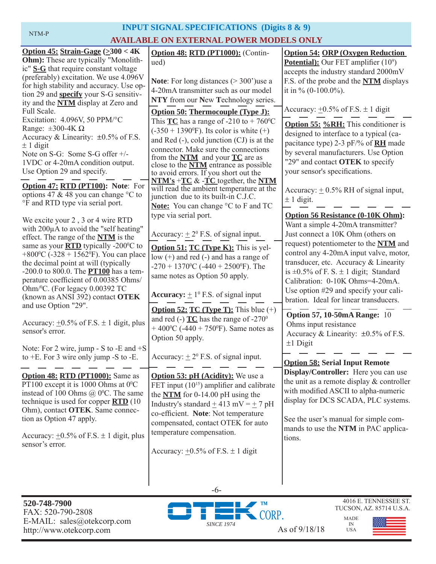| <b>INPUT SIGNAL SPECIFICATIONS</b> (Digits 8 & 9)                                                                                                                                                                                                                                                                                                                                                                                                                                                                                                                                                                                                                                                   |                                                                                                                                                                                                                                                                                                                                                                                                                                                                                                                                                                                                                                                                                                                                   |                                                                                                                                                                                                                                                                                                                                                                                                                                                                                                                                                                       |  |  |  |  |  |
|-----------------------------------------------------------------------------------------------------------------------------------------------------------------------------------------------------------------------------------------------------------------------------------------------------------------------------------------------------------------------------------------------------------------------------------------------------------------------------------------------------------------------------------------------------------------------------------------------------------------------------------------------------------------------------------------------------|-----------------------------------------------------------------------------------------------------------------------------------------------------------------------------------------------------------------------------------------------------------------------------------------------------------------------------------------------------------------------------------------------------------------------------------------------------------------------------------------------------------------------------------------------------------------------------------------------------------------------------------------------------------------------------------------------------------------------------------|-----------------------------------------------------------------------------------------------------------------------------------------------------------------------------------------------------------------------------------------------------------------------------------------------------------------------------------------------------------------------------------------------------------------------------------------------------------------------------------------------------------------------------------------------------------------------|--|--|--|--|--|
| NTM-P                                                                                                                                                                                                                                                                                                                                                                                                                                                                                                                                                                                                                                                                                               | <b>AVAILABLE ON EXTERNAL POWER MODELS ONLY</b>                                                                                                                                                                                                                                                                                                                                                                                                                                                                                                                                                                                                                                                                                    |                                                                                                                                                                                                                                                                                                                                                                                                                                                                                                                                                                       |  |  |  |  |  |
| Option 45: Strain-Gage $(\geq 300 < 4K)$<br><b>Ohm</b> ): These are typically "Monolith-<br>ic" S-G that require constant voltage<br>(preferably) excitation. We use 4.096V<br>for high stability and accuracy. Use op-<br>tion 29 and <b>specify</b> your S-G sensitiv-<br>ity and the <b>NTM</b> display at Zero and<br>Full Scale.<br>Excitation: 4.096V, 50 PPM/°C<br>Range: $\pm 300 - 4K \Omega$<br>Accuracy & Linearity: $\pm 0.5\%$ of F.S.<br>$\pm$ 1 digit<br>Note on S-G: Some S-G offer +/-<br>1VDC or 4-20mA condition output.<br>Use Option 29 and specify.<br>Option 47: RTD (PT100): Note: For<br>options 47 & 48 you can change $\degree$ C to<br>°F and RTD type via serial port. | Option 48: RTD (PT1000): (Contin-<br>ued)<br><b>Note:</b> For long distances $(>300)$ use a<br>4-20mA transmitter such as our model<br>NTY from our New Technology series.<br><b>Option 50: Thermocouple (Type J):</b><br>This $TC$ has a range of -210 to + 760 <sup>o</sup> C<br>$(-350 + 1390^{\circ}F)$ . Its color is white $(+)$<br>and Red $(-)$ , cold junction $(CJ)$ is at the<br>connector. Make sure the connections<br>from the $NTM$ and your $TC$ are as<br>close to the <b>NTM</b> entrance as possible<br>to avoid errors. If you short out the<br>$NTM's + TC & FC$ together, the NTM<br>will read the ambient temperature at the<br>junction due to its built-in C.J.C.<br>Note: You can change °C to F and TC | <b>Option 54: ORP (Oxygen Reduction)</b><br><b>Potential):</b> Our FET amplifier $(10^9)$<br>accepts the industry standard 2000mV<br>F.S. of the probe and the NTM displays<br>it in % $(0-100.0\%)$ .<br>Accuracy: $\pm 0.5\%$ of F.S. $\pm$ 1 digit<br><b>Option 55: %RH:</b> This conditioner is<br>designed to interface to a typical (ca-<br>pacitance type) 2-3 pF/% of <b>RH</b> made<br>by several manufacturers. Use Option<br>"29" and contact OTEK to specify<br>your sensor's specifications.<br>Accuracy: $\pm$ 0.5% RH of signal input,<br>$± 1$ digit. |  |  |  |  |  |
| We excite your 2, 3 or 4 wire RTD<br>with 200µA to avoid the "self heating"<br>effect. The range of the <b>NTM</b> is the<br>same as your <b>RTD</b> typically -200°C to<br>+800 $\rm{^0C}$ (-328 + 1562 $\rm{^0F}$ ). You can place<br>the decimal point at will (typically<br>-200.0 to 800.0. The <b>PT100</b> has a tem-<br>perature coefficient of 0.00385 Ohms/<br>Ohm/ <sup>0</sup> C. (For legacy 0.00392 TC<br>(known as ANSI 392) contact OTEK<br>and use Option "29".                                                                                                                                                                                                                    | type via serial port.<br>Accuracy: $\pm 2^{\circ}$ F.S. of signal input.<br><b>Option 51: TC (Type K):</b> This is yel-<br>low $(+)$ and red $(-)$ and has a range of<br>$-270 + 1370$ <sup>o</sup> C ( $-440 + 2500$ <sup>o</sup> F). The<br>same notes as Option 50 apply.<br><b>Accuracy:</b> $\pm 1^{\circ}$ F.S. of signal input<br><b>Option 52: TC (Type T):</b> This blue $(+)$                                                                                                                                                                                                                                                                                                                                           | <b>Option 56 Resistance (0-10K Ohm):</b><br>Want a simple 4-20mA transmitter?<br>Just connect a 10K Ohm (others on<br>request) potentiometer to the NTM and<br>control any 4-20mA input valve, motor,<br>transducer, etc. Accuracy & Linearity<br>is $\pm 0.5\%$ of F. S. $\pm$ 1 digit; Standard<br>Calibration: 0-10K Ohms=4-20mA.<br>Use option #29 and specify your cali-<br>bration. Ideal for linear transducers.                                                                                                                                               |  |  |  |  |  |
| Accuracy: $\pm 0.5\%$ of F.S. $\pm$ 1 digit, plus<br>sensor's error.<br>Note: For 2 wire, jump - S to -E and $+S$                                                                                                                                                                                                                                                                                                                                                                                                                                                                                                                                                                                   | and red (-) $TC$ has the range of -270 <sup>0</sup><br>+400 °C (-440 + 750 °F). Same notes as<br>Option 50 apply.                                                                                                                                                                                                                                                                                                                                                                                                                                                                                                                                                                                                                 | <b>Option 57, 10-50mA Range: 10</b><br>Ohms input resistance<br>Accuracy & Linearity: $\pm 0.5\%$ of F.S.<br>$±1$ Digit<br><b>Option 58: Serial Input Remote</b>                                                                                                                                                                                                                                                                                                                                                                                                      |  |  |  |  |  |
| to $+E$ . For 3 wire only jump -S to -E.                                                                                                                                                                                                                                                                                                                                                                                                                                                                                                                                                                                                                                                            | Accuracy: $\pm 2^{\circ}$ F.S. of signal input.                                                                                                                                                                                                                                                                                                                                                                                                                                                                                                                                                                                                                                                                                   |                                                                                                                                                                                                                                                                                                                                                                                                                                                                                                                                                                       |  |  |  |  |  |
| Option 48: RTD (PT1000): Same as<br>PT100 except it is 1000 Ohms at $0^{\circ}$ C<br>instead of 100 Ohms $(a)$ 0°C. The same<br>technique is used for copper <b>RTD</b> (10<br>Ohm), contact OTEK. Same connec-<br>tion as Option 47 apply.<br>Accuracy: $\pm 0.5\%$ of F.S. $\pm$ 1 digit, plus<br>sensor's error.                                                                                                                                                                                                                                                                                                                                                                                 | <b>Option 53: pH (Acidity):</b> We use a<br>FET input $(10^{15})$ amplifier and calibrate<br>the $NTM$ for 0-14.00 pH using the<br>Industry's standard $\pm$ 413 mV = $\pm$ 7 pH<br>co-efficient. Note: Not temperature<br>compensated, contact OTEK for auto<br>temperature compensation.<br>Accuracy: $\pm 0.5\%$ of F.S. $\pm$ 1 digit                                                                                                                                                                                                                                                                                                                                                                                         | Display/Controller: Here you can use<br>the unit as a remote display & controller<br>with modified ASCII to alpha-numeric<br>display for DCS SCADA, PLC systems.<br>See the user's manual for simple com-<br>mands to use the NTM in PAC applica-<br>tions.                                                                                                                                                                                                                                                                                                           |  |  |  |  |  |



-6-



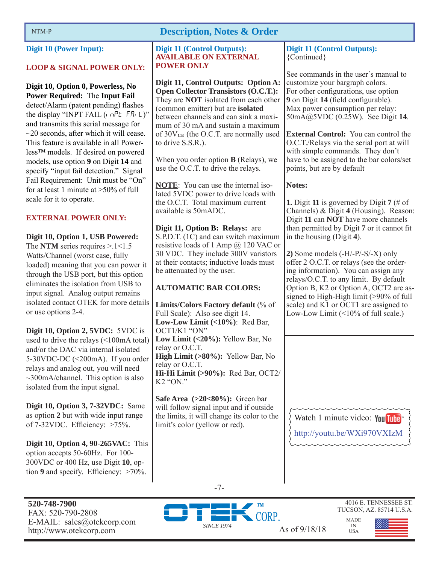**Digit 10 (Power Input):** 

## **LOOP & SIGNAL POWER ONLY:**

**Digit 10, Option 0, Powerless, No Power Required: The Input Fail** detect/Alarm (patent pending) flashes the display "INPT FAIL  $($ ,  $nPE$  FR,  $L$ )" and transmits this serial message for  $\sim$ 20 seconds, after which it will cease. This feature is available in all Powerless™ models. If desired on powered models, use option **9** on Digit **14** and specify "input fail detection." Signal Fail Requirement: Unit must be "On" for at least 1 minute at  $>50\%$  of full scale for it to operate.

# **EXTERNAL POWER ONLY:**

**Digit 10, Option 1, USB Powered:**  The **NTM** series requires >.1<1.5 Watts/Channel (worst case, fully loaded) meaning that you can power it through the USB port, but this option eliminates the isolation from USB to input signal. Analog output remains isolated contact OTEK for more details or use options 2-4.

**Digit 10, Option 2, 5VDC:** 5VDC is used to drive the relays (<100mA total) and/or the DAC via internal isolated 5-30VDC-DC (<200mA). If you order relays and analog out, you will need  $\sim$ 300mA/channel. This option is also isolated from the input signal.

**Digit 10, Option 3, 7-32VDC:** Same as option **2** but with wide input range of  $7-32VDC$ . Efficiency:  $>75\%$ .

**Digit 10, Option 4, 90-265VAC:** This option accepts 50-60Hz. For 100- 300VDC or 400 Hz, use Digit **10**, option  $9$  and specify. Efficiency:  $>70\%$ .

#### **Digit 11 (Control Outputs): AVAILABLE ON EXTERNAL POWER ONLY**

**Digit 11, Control Outputs: Option A: Open Collector Transistors (O.C.T.):**  They are **NOT** isolated from each other (common emitter) but are **isolated**  between channels and can sink a maximum of 30 mA and sustain a maximum of 30V**CE** (the O.C.T. are normally used to drive S.S.R.).

When you order option **B** (Relays), we use the O.C.T. to drive the relays.

**NOTE**: You can use the internal isolated 5VDC power to drive loads with the O.C.T. Total maximum current available is 50mADC.

**Digit 11, Option B: Relays:** are S.P.D.T. (1C) and can switch maximum resistive loads of 1 Amp @ 120 VAC or 30 VDC. They include 300V varistors at their contacts; inductive loads must be attenuated by the user.

# **AUTOMATIC BAR COLORS:**

**Limits/Colors Factory default** (% of Full Scale): Also see digit 14. **Low-Low Limit (<10%)**: Red Bar, OCT1/K1 "ON" **Low Limit (<20%):** Yellow Bar, No relay or O.C.T. **High Limit (>80%):** Yellow Bar, No relay or O.C.T. **Hi-Hi Limit (>90%):** Red Bar, OCT2/  $K2$  "ON"

**Safe Area (>20<80%):** Green bar will follow signal input and if outside the limits, it will change its color to the limit's color (yellow or red).

**Digit 11 (Control Outputs):**  {Continued}

See commands in the user's manual to customize your bargraph colors. For other configurations, use option **9** on Digit **14** (field configurable). Max power consumption per relay: 50mA@5VDC (0.25W). See Digit **14**.

**External Control:** You can control the O.C.T./Relays via the serial port at will with simple commands. They don't have to be assigned to the bar colors/set points, but are by default

# **Notes:**

**1.** Digit **11** is governed by Digit **7** (# of Channels) & Digit **4** (Housing). Reason: Digit **11** can **NOT** have more channels than permitted by Digit 7 or it cannot fit in the housing (Digit **4**).

**2)** Some models (-H/-P/-S/-X) only offer 2 O.C.T. or relays (see the ordering information). You can assign any relays/O.C.T. to any limit. By default Option B, K2 or Option A, OCT2 are assigned to High-High limit (>90% of full scale) and K1 or OCT1 are assigned to Low-Low Limit  $($  <math>10\% of full scale.)

Watch 1 minute video: You Tube http://youtu.be/WXi970VXIzM



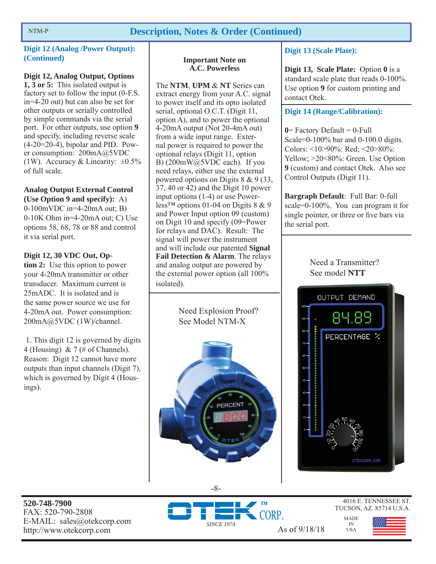# NTM-P **Description, Notes & Order (Continued)**

## **Digit 12 (Analog /Power Output): (Continued)**

# **Digit 12, Analog Output, Options**

**1, 3 or 5:** This isolated output is factory set to follow the input (0-F.S. in=4-20 out) but can also be set for other outputs or serially controlled by simple commands via the serial port. For other outputs, use option **9** and specify, including reverse scale  $(4-20=20-4)$ , bipolar and PID. Power consumption: 200mA@5VDC (1W). Accuracy & Linearity:  $\pm 0.5\%$ of full scale.

# **Analog Output External Control (Use Option 9 and specify):** A)

0-100mVDC in=4-20mA out; B) 0-10K Ohm in=4-20mA out; C) Use options 58, 68, 78 or 88 and control it via serial port.

# **Digit 12, 30 VDC Out, Op-**

**tion 2:** Use this option to power your 4-20mA transmitter or other transducer. Maximum current is 25mADC. It is isolated and is the same power source we use for 4-20mA out. Power consumption: 200mA@5VDC (1W)/channel.

 1. This digit 12 is governed by digits 4 (Housing) & 7 (# of Channels). Reason: Digit 12 cannot have more outputs than input channels (Digit 7), which is governed by Digit 4 (Housings).

# **Important Note on A.C. Powerless**

The **NTM**, **UPM** & **NT** Series can extract energy from your A.C. signal to power itself and its opto isolated serial, optional O.C.T. (Digit 11, option  $\overline{A}$ ), and to power the optional 4-20mA output (Not 20-4mA out) from a wide input range. External power is required to power the optional relays (Digit 11, option B) (200mW@5VDC each). If you need relays, either use the external powered options on Digits 8 & 9 (33, 37, 40 or 42) and the Digit 10 power input options (1-4) or use Powerless<sup>™</sup> options 01-04 on Digits  $8 \& 9$ and Power Input option 09 (custom) on Digit 10 and specify (09=Power for relays and DAC). Result: The signal will power the instrument and will include our patented **Signal Fail Detection & Alarm**. The relays and analog output are powered by the external power option (all 100% isolated).

> Need Explosion Proof? See Model NTM-X



-8-

## **Digit 13 (Scale Plate):**

**Digit 13, Scale Plate:** Option **0** is a standard scale plate that reads 0-100%. Use option **9** for custom printing and contact Otek.

**Digit 14 (Range/Calibration):** 

 $0$ = Factory Default =  $0$ -Full Scale=0-100% bar and 0-100.0 digits. Colors: <10>90%: Red; <20>80%: Yellow; >20<80%: Green. Use Option **9** (custom) and contact Otek. Also see Control Outputs (Digit 11).

**Bargraph Default**: Full Bar: 0-full scale=0-100%. You can program it for single pointer, or three or five bars via the serial port.

> Need a Transmitter? See model **NTT**



**520-748-7900** FAX: 520-790-2808 E-MAIL: sales@otekcorp.com



4016 E. TENNESSEE ST. TUCSON, AZ. 85714 U.S.A.

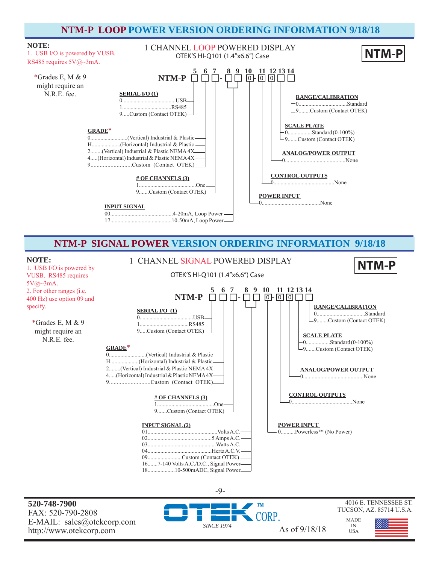# **NTM-P LOOP POWER VERSION ORDERING INFORMATION 9/18/18**



# **NTM-P SIGNAL POWER VERSION ORDERING INFORMATION 9/18/18**



**520-748-7900** FAX: 520-790-2808 E-MAIL: sales@otekcorp.com http://www.otekcorp.com As of 9/18/18



-9-

4016 E. TENNESSEE ST. TUCSON, AZ. 85714 U.S.A.

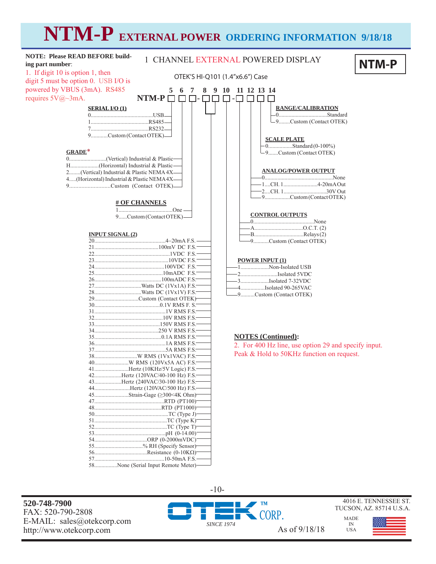# **NTM-P EXTERNAL POWER ORDERING INFORMATION 9/18/18**

| <b>NOTE: Please READ BEFORE build-</b><br>ing part number:                                                           | 1 CHANNEL EXTERNAL POWERED DISPLAY<br>NTM-P          |
|----------------------------------------------------------------------------------------------------------------------|------------------------------------------------------|
| 1. If digit 10 is option 1, then<br>OTEK'S HI-Q101 (1.4"x6.6") Case<br>digit 5 must be option 0. USB I/O is          |                                                      |
| powered by VBUS (3mA). RS485<br>$\overline{7}$<br>8<br>5<br>6<br>requires $5V@\sim3mA$ .<br>$NTM-P \square$<br>- I - | 9 <sub>10</sub><br>11 12 13 14                       |
| <b>SERIAL I/O (1)</b>                                                                                                | <b>RANGE/CALIBRATION</b>                             |
|                                                                                                                      | -9Custom (Contact OTEK)                              |
| 9Custom (Contact OTEK)-                                                                                              | <b>SCALE PLATE</b>                                   |
| $GRADE^*$                                                                                                            | $-0$ Standard (0-100%)                               |
|                                                                                                                      | -9Custom (Contact OTEK)                              |
|                                                                                                                      |                                                      |
| H(Horizontal) Industrial & Plastic-                                                                                  | <b>ANALOG/POWER OUTPUT</b>                           |
| 2(Vertical) Industrial & Plastic NEMA 4X-                                                                            |                                                      |
| 4(Horizontal) Industrial & Plastic NEMA 4X-                                                                          |                                                      |
| 9Custom (Contact OTEK)-                                                                                              |                                                      |
|                                                                                                                      | 9Custom (Contact OTEK)                               |
| <b># OF CHANNELS</b>                                                                                                 |                                                      |
|                                                                                                                      |                                                      |
|                                                                                                                      | <b>CONTROL OUTPUTS</b>                               |
| 9Custom (Contact OTEK)-                                                                                              |                                                      |
|                                                                                                                      |                                                      |
| <b>INPUT SIGNAL (2)</b>                                                                                              |                                                      |
|                                                                                                                      |                                                      |
|                                                                                                                      | -9Custom (Contact OTEK)                              |
|                                                                                                                      |                                                      |
|                                                                                                                      |                                                      |
|                                                                                                                      | <b>POWER INPUT (1)</b>                               |
|                                                                                                                      | 1Non-Isolated USB                                    |
|                                                                                                                      |                                                      |
|                                                                                                                      |                                                      |
|                                                                                                                      | -4Isolated 90-265VAC                                 |
|                                                                                                                      | -9Custom (Contact OTEK)                              |
| 29Custom (Contact OTEK)                                                                                              |                                                      |
|                                                                                                                      |                                                      |
|                                                                                                                      |                                                      |
|                                                                                                                      |                                                      |
|                                                                                                                      |                                                      |
|                                                                                                                      |                                                      |
|                                                                                                                      | <b>NOTES</b> (Continued):                            |
|                                                                                                                      | 2. For 400 Hz line, use option 29 and specify input. |
|                                                                                                                      | Peak & Hold to 50KHz function on request.            |
|                                                                                                                      |                                                      |
|                                                                                                                      |                                                      |
| 41Hertz (10KHz/5V Logic) F.S.-                                                                                       |                                                      |
| 42Hertz (120VAC/40-100 Hz) F.S.                                                                                      |                                                      |
| 43Hertz (240VAC/30-100 Hz) F.S.                                                                                      |                                                      |
| 44Hertz (120VAC/500 Hz) F.S.-                                                                                        |                                                      |
|                                                                                                                      |                                                      |
|                                                                                                                      |                                                      |
|                                                                                                                      |                                                      |
|                                                                                                                      |                                                      |
|                                                                                                                      |                                                      |
|                                                                                                                      |                                                      |
|                                                                                                                      |                                                      |
|                                                                                                                      |                                                      |
| 55% RH (Specify Sensor)                                                                                              |                                                      |
|                                                                                                                      |                                                      |

10-50mA F.S. 58................None (Serial Input Remote Meter)

**520-748-7900** FAX: 520-790-2808 E-MAIL: sales@otekcorp.com http://www.otekcorp.com As of 9/18/18



**TM** CORP. *SINCE 1974*

4016 E. TENNESSEE ST. TUCSON, AZ. 85714 U.S.A.